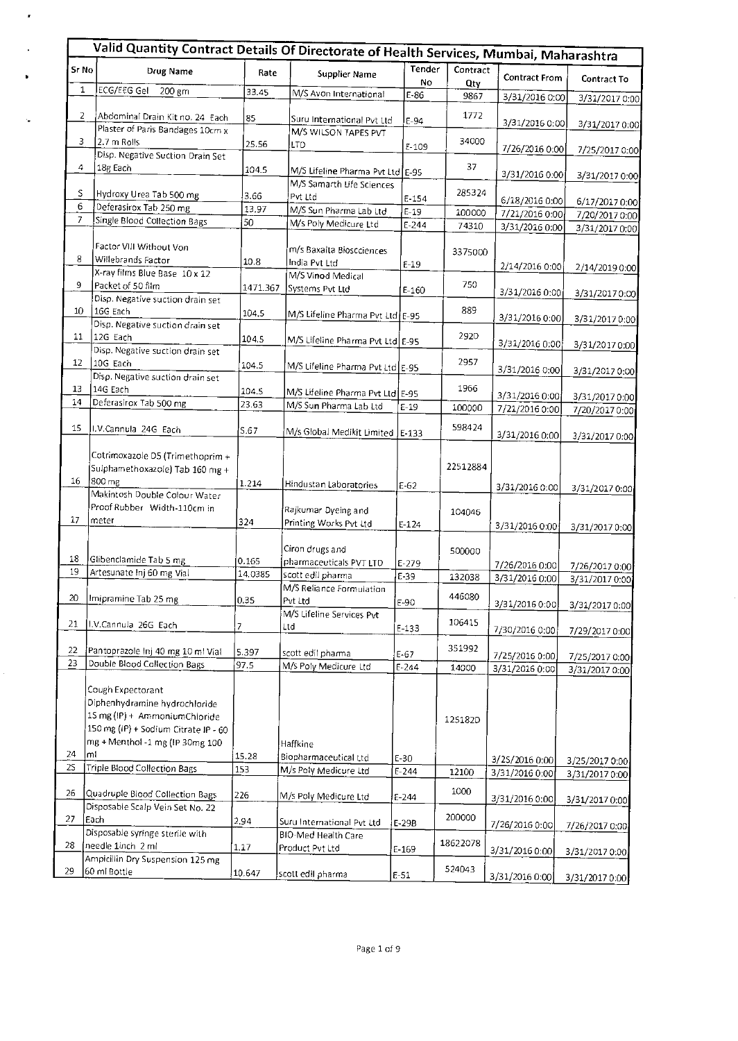|                 | Valid Quantity Contract Details Of Directorate of Health Services, Mumbai, Maharashtra                                                                         |                |                                                                |                       |                 |                                  |                |
|-----------------|----------------------------------------------------------------------------------------------------------------------------------------------------------------|----------------|----------------------------------------------------------------|-----------------------|-----------------|----------------------------------|----------------|
| Sr No           | <b>Drug Name</b>                                                                                                                                               | Rate           | <b>Supplier Name</b>                                           | <b>Tender</b><br>No   | Contract<br>Oty | <b>Contract From</b>             | Contract To    |
| 1               | ECG/EEG Gel<br>200 gm                                                                                                                                          | 33.45          | M/S Avon International                                         | $E-86$                | 9867            | 3/31/2016 0:00                   | 3/31/2017 0:00 |
| 2               | Abdominal Drain Kit no. 24 Each<br>Plaster of Paris Bandages 10cm x                                                                                            | 85             | Suru International Pvt Ltd                                     | $E-94$                | 1772            | 3/31/2016 0:00                   | 3/31/2017 0:00 |
| 3               | 2.7 m Rolls                                                                                                                                                    | 25.56          | M/S WILSON TAPES PVT<br>LTD                                    | $E-109$               | 34000           |                                  |                |
|                 | Disp. Negative Suction Drain Set                                                                                                                               |                |                                                                |                       |                 | 7/26/2016 0:00                   | 7/25/2017 0:00 |
| 4               | 18g Each                                                                                                                                                       | 104.5          | M/S Lifeline Pharma Pvt Ltd E-95                               |                       | 37              | 3/31/2016 0:00                   | 3/31/2017 0:00 |
| S               | Hydroxy Urea Tab 500 mg                                                                                                                                        | 3.66           | M/S Samarth Life Sciences<br>Pvt Ltd                           | $E - 154$             | 285324          | 6/18/2016 0:00                   | 6/17/2017 0:00 |
| 6               | Deferasirox Tab 250 mg                                                                                                                                         | 13.97          | M/S Sun Pharma Lab Ltd                                         | $E - 19$              | 100000          | 7/21/2016 0:00                   | 7/20/2017 0:00 |
| 7               | Single Blood Collection Bags                                                                                                                                   | 50             | M/s Poly Medicure Ltd                                          | $E - 244$             | 74310           | 3/31/2016 0:00                   | 3/31/2017 0:00 |
| 8               | Factor VIII Without Von<br>Willebrands Factor<br>X-ray films Blue Base 10 x 12                                                                                 | 10.8           | m/s Baxalta Bioscciences<br>India Pvt Ltd<br>M/S Vinod Medical | $E-19$                | 3375000         | 2/14/2016 0:00                   | 2/14/2019 0:00 |
| 9               | Packet of 50 film                                                                                                                                              | 1471.367       | Systems Pvt Ltd                                                | $E-160$               | 750             |                                  |                |
|                 | Disp. Negative suction drain set                                                                                                                               |                |                                                                |                       |                 | 3/31/2016 0:00                   | 3/31/20170:00  |
| 10              | 16G Each                                                                                                                                                       | 104.5          | M/S Lifeline Pharma Pvt Ltd E-95                               |                       | 889             | 3/31/2016 0:00                   | 3/31/2017 0:00 |
| 11              | Disp. Negative suction drain set<br>12G Each                                                                                                                   | 104.5          | M/S Lifeline Pharma Pvt Ltd E-95                               |                       | 292D            | 3/31/2016 0:00                   | 3/31/2017 0:00 |
| 12              | Disp. Negative suction drain set<br>10G Each                                                                                                                   | 104.5          | M/S Lifeline Pharma Pvt Ltd E-95                               |                       | 2957            | 3/31/2016 0:00                   | 3/31/2017 0:00 |
| 13              | Disp. Negative suction drain set<br>14G Each                                                                                                                   |                |                                                                |                       | 1966            |                                  |                |
| 14              | Deferasirox Tab 500 mg                                                                                                                                         | 104.5<br>23.63 | M/S Lifeline Pharma Pvt Ltd E-95<br>M/S Sun Pharma Lab Ltd     |                       |                 | 3/31/2016 0:00                   | 3/31/2017 0:00 |
|                 |                                                                                                                                                                |                |                                                                | $E-19$                | 100000          | 7/21/2016 0:00                   | 7/20/2017 0:00 |
| 15              | I.V.Cannula 24G Each                                                                                                                                           | S.67           | M/s Global Medikit Limited E-133                               |                       | 598424          | 3/31/2016 0:00                   | 3/31/2017 0:00 |
| 16              | Cotrimoxazole D5 (Trimethoprim +<br>Sulphamethoxazole) Tab 160 mg +<br>800 mg                                                                                  | 1.214          | Hindustan Laboratories                                         | $E-62$                | 22512884        | 3/31/2016 0:00                   |                |
|                 | Makintosh Double Colour Water                                                                                                                                  |                |                                                                |                       |                 |                                  | 3/31/2017 0:00 |
| 17              | Proof Rubber Width-110cm in<br>meter                                                                                                                           | 324            | Rajkumar Dyeing and<br>Printing Works Pvt Ltd                  | $E-124$               | 104046          | 3/31/2016 0:00                   | 3/31/2017 0:00 |
|                 |                                                                                                                                                                |                | Ciron drugs and                                                |                       | 500000          |                                  |                |
| 18              | Glibenclamide Tab 5 mg                                                                                                                                         | 0.165          | pharmaceuticals PVT LTD                                        | $E-279$               |                 | 7/26/2016 0:00                   | 7/26/2017 0:00 |
| 19              | Artesunate Inj 60 mg Vial                                                                                                                                      | 14.0385        | scott edil pharma                                              | E-39                  | 132038          | 3/31/2016 0:00                   | 3/31/2017 0:00 |
| 20 <sub>2</sub> | Imipramine Tab 25 mg                                                                                                                                           | 0.35           | M/S Reliance Formulation<br>Pvt Ltd                            | F-90                  | 446080          | 3/31/2016 0:00                   | 3/31/2017 0:00 |
| 21              | I.V.Cannula 26G Each                                                                                                                                           | 7              | M/S Lifeline Services Pvt<br>Ltd                               | $E-133$               | 106415          | 7/30/2016 0:00                   | 7/29/2017 0:00 |
| 22              | Pantoprazole Inj 40 mg 10 ml Vial                                                                                                                              | 5.397          | scott edil pharma                                              |                       | 351992          |                                  |                |
| 23              | Double Blood Collection Bags                                                                                                                                   | 97.5           | M/s Poly Medicure Ltd                                          | $E - 67$<br>$E - 244$ | 14000           | 7/25/2016 0:00<br>3/31/2016 0:00 | 7/25/2017 0:00 |
|                 | Cough Expectorant<br>Diphenhydramine hydrochloride<br>15 mg (IP) + AmmoniumChloride<br>150 mg (IP) + Sodium Citrate IP - 60<br>mg + Menthol -1 mg (IP 30mg 100 |                | Haffkine                                                       |                       | 125182D         |                                  | 3/31/2017 0:00 |
| 24<br>2S        | lml<br>Triple Blood Collection Bags                                                                                                                            | 15.28          | Biopharmaceutical Ltd                                          | E-30                  |                 | 3/25/2016 0:00                   | 3/25/2017 0:00 |
|                 |                                                                                                                                                                | 153            | M/s Poly Medicure Ltd                                          | $E-244$               | 12100           | 3/31/2016 0:00                   | 3/31/2017 0:00 |
| 26              | Quadruple Blood Collection Bags<br>Disposable Scalp Vein Set No. 22                                                                                            | 226            | M/s Poly Medicure Ltd                                          | $E-244$               | 1000            | 3/31/2016 0:00                   | 3/31/2017 0:00 |
| 27.             | Each                                                                                                                                                           | 2.94           | Suru International Pvt Ltd                                     | $E-29B$               | 200000          |                                  |                |
|                 | Disposable syringe sterile with                                                                                                                                |                | BIO-Med Health Care                                            |                       |                 | 7/26/2016 0:00                   | 7/26/2017 0:00 |
| 28              | needle 1inch 2 ml                                                                                                                                              | 1.17           | Product Pvt Ltd                                                | $E-169$               | 18622078        | 3/31/2016 0:00                   | 3/31/2017 0:00 |
| 29              | Ampiciliin Dry Suspension 125 mg<br>60 mi Bottle                                                                                                               | 10.647         | scott edil pharma                                              | $E - 51$              | 524043          |                                  |                |
|                 |                                                                                                                                                                |                |                                                                |                       |                 | 3/31/2016 0:00                   | 3/31/2017 0:00 |

 $\pmb{\cdot}$ 

 $\ddot{\phantom{a}}$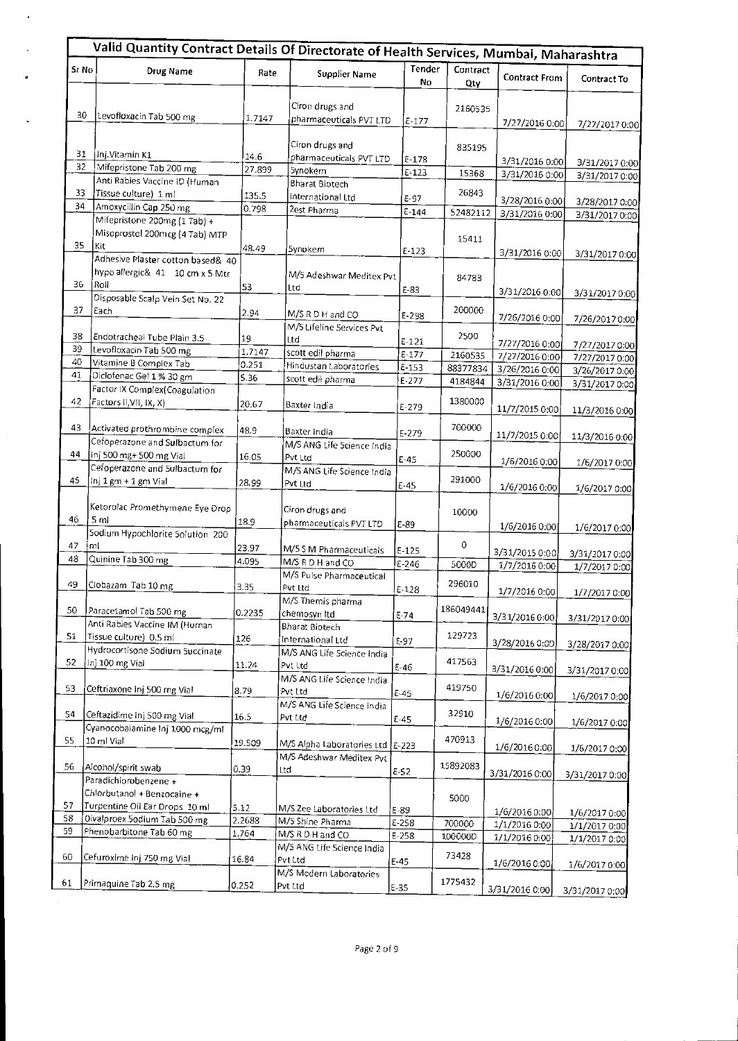|       | Valid Quantity Contract Details Of Directorate of Health Services, Mumbai, Maharashtra |                |                                            |                     |                  |                                 |                                  |  |
|-------|----------------------------------------------------------------------------------------|----------------|--------------------------------------------|---------------------|------------------|---------------------------------|----------------------------------|--|
| S: No | Drug Name                                                                              | Rate           | <b>Supplier Name</b>                       | <b>Tender</b><br>No | Contract<br>Qty  | <b>Contract From</b>            | Contract To                      |  |
| 30    | Levofloxacin Tab 500 mg                                                                | 1.7147         | Ciron drugs and<br>pharmaceuticals PVT LTD | $E - 177$           | 2160535          | 7/27/2016 0:00                  | 7/27/2017 0:00                   |  |
| 31    | Inj.Vitamin K1                                                                         |                | Ciron drugs and                            |                     | 835195           |                                 |                                  |  |
| 32    | Mifepristone Tab 200 mg                                                                | 14.6           | pharmaceuticals PVT LTD                    | $E-178$             |                  | 3/31/2016 0:00                  | 3/31/2017 0:00                   |  |
|       | Anti Rabies Vaccine ID (Human                                                          | 27.899         | 5ynokem                                    | $E-123$             | 15368            | 3/31/2016 0:00                  | 3/31/2017 0:00                   |  |
| 33    | Tissue culture) 1 ml                                                                   |                | <b>Bharat Biotech</b>                      |                     | 26843            |                                 |                                  |  |
| 34    | Amoxycillin Cap 250 mg                                                                 | 135.5<br>0.798 | International Ltd                          | $E-97$              |                  | 3/28/2016 0:00                  | 3/28/2017 0.00                   |  |
|       | Mifepristone 200mg (1 Tab) +                                                           |                | 2est Pharma                                | $E - 144$           | 52482112         | 3/31/2016 0:00                  | 3/31/2017 0:00                   |  |
| 35    | Misoprostol 200mcg (4 Tab) MTP<br>Kit                                                  | 48.49          | Synokem                                    | $E - 123$           | 15411            |                                 |                                  |  |
|       | Adhesive Plaster cotton based& 40                                                      |                |                                            |                     |                  | 3/31/2016 0:00                  | 3/31/2017 0:00                   |  |
| 36    | hypo allergic& 41 10 cm x 5 Mtr<br>Roll                                                | 53             | M/5 Adeshwar Meditex Pvt<br>Ltd            | $E-83$              | 84783            | 3/31/2016 0:00                  | 3/31/2017 0:00                   |  |
|       | Disposable Scalp Vein Set No. 22                                                       |                |                                            |                     |                  |                                 |                                  |  |
| 37    | Each                                                                                   | 2.94           | M/S R D H and CO                           | E-298               | 200000           | 7/26/2016 0:00                  | 7/26/2017 0:00                   |  |
| 38    |                                                                                        |                | M/5 Lifeline Services Pvt                  |                     | 2500             |                                 |                                  |  |
| 39    | Endotracheal Tube Plain 3.5<br>Levofloxacin Tab 500 mg                                 | 19             | Ltd                                        | $E-121$             |                  | 7/27/2016 0:00                  | 7/27/2017 0:00                   |  |
| 40    | Vitamine B Complex Tab                                                                 | 1.7147         | scott edil pharma                          | $E-177$             | 2160535          | 7/27/2016 0:00                  | 7/27/2017 0:00                   |  |
| 41    | Diclofenac Gel 1 % 30 gm                                                               | 0.251          | Hindustan Laboratories                     | E-153               | 88377834         | 3/26/2016 0:00                  | 3/26/2017 0:00                   |  |
|       | Factor IX Complex (Coagulation                                                         | 5.36           | scott edil pharma                          | $E - 277$           | 4184844          | 3/31/2016 0:00                  | 3/31/2017 0:00                   |  |
| 42    | Factors II, VII, IX, X)                                                                | 20.67          | Baxter India                               | $E - 279$           | 1380000          | 11/7/2015 0:00                  | 11/3/2016 0:00                   |  |
| 43    | Activated prothrombine complex<br>Cefoperazone and Sulbactum for                       | 48.9           | Baxter India<br>M/S ANG Life 5cience India | $E - 279$           | 700000           | 11/7/2015 0:00                  | 11/3/2016 0:00                   |  |
| 44    | Inj 500 mg+ 500 mg Vial                                                                | 16.05          | Pvt Ltd                                    | $E - 45$            | 250000           | 1/6/2016 0:00                   | 1/6/2017 0:00                    |  |
| 45    | Cefoperazone and 5ulbactum for<br>Inj 1 gm + 1 gm Vial                                 | 28.99          | M/5 ANG Life Science India<br>Pvt Ltd      | $E - 45$            | 291000           | 1/6/2016 0:00                   | 1/6/2017 0:00                    |  |
| 46    | Ketorolac Promethymene Eye Drop<br>5 ml                                                | 18.9           | Ciron drugs and                            |                     | 10000            |                                 |                                  |  |
|       | 5odium Hypochlorite 5olution 200                                                       |                | pharmaceuticals PVT LTD                    | $E-89$              |                  | 1/6/2016 0:00                   | 1/6/2017 0:00                    |  |
| 47    | ml                                                                                     | 23.97          | M/5 S M Pharmaceuticals                    |                     | 0                |                                 |                                  |  |
| 48    | Quinine Tab 300 mg                                                                     | 4.095          | M/S R D H and CO                           | $E-125$             |                  | 3/31/2015 0:00                  | 3/31/2017 0:00                   |  |
|       |                                                                                        |                | M/S Pulse Pharmaceutical                   | E-246               | 5000D            | 1/7/2016 0:00                   | 1/7/2017 0:00                    |  |
| 49    | Clobazam Tab 10 mg                                                                     | 3.35           | Pvt Ltd<br>M/S Themis pharma               | E-128               | 296010           | 1/7/2016 0:00                   | 1/7/2017 0:00                    |  |
| 50    | Paracetamol Tab 500 mg<br>Anti Rabies Vaccine IM (Human                                | 0.2235         | chemosyn Itd                               | E-74                | 186049441        | 3/31/2016 0:00                  | 3/31/2017 0:00                   |  |
| 51    | Tissue culture) 0.5 ml                                                                 | 126            | Bharat Biotech<br>International Ltd        | E-97                | 129723           | 3/28/2016 0:0D                  |                                  |  |
| 52    | Hydrocortisone Sodium Succinate<br>Inj 100 mg Vial                                     | 11.24          | M/S ANG Life 5cience India<br>Pvt Ltd      | $E-46$              | 417563           | 3/31/2016 0:00                  | 3/28/2017 0:00<br>3/31/2017 0:00 |  |
| 53    | Ceftriaxone inj 500 mg Vial                                                            | 8.79           | M/S ANG Life Science India<br>Pvt Ltd      | $E-45$              | 419750           | 1/6/2016 0:00                   | 1/6/2017 0:00                    |  |
| 54    | Ceftazidime Inj 500 mg Vial                                                            | 16.5           | M/S ANG Life Science India<br>Pvt Ltd      | $E-45$              | 32910            | 1/6/2016 0:00                   | 1/6/2017 0:00                    |  |
| 55    | Cyanocobalamine Inj 1000 mcg/ml<br>10 ml Vial                                          | 19.509         | M/S Alpha Laboratories Ltd                 | E-223               | 470913           |                                 |                                  |  |
| 56    | Alcohol/spirit swab                                                                    | 0.39           | M/S Adeshwar Meditex Pvt                   |                     | 15892083         | 1/6/2016 0:00                   | 1/6/2017 0:00                    |  |
|       | Paradichlorobenzene +<br>Chlorbutanol + Benzocaine +                                   |                | Ltd                                        | $E-52$              |                  | 3/31/2016 0:00                  | 3/31/2017 0:00                   |  |
| 57    | Turpentine Oil Ear Drops 10 ml                                                         | 5.12           | M/S Zee Laboratories Ltd                   |                     | 5000             |                                 |                                  |  |
| 58    | Oivalproex 5odium Tab 500 mg                                                           | 2.2688         | M/5 Shine Pharma                           | E-89                |                  | 1/6/2016 0:00                   | 1/6/2017 0:00                    |  |
| 59    | Phenobarbitone Tab 60 mg                                                               | 1.764          | M/S R D H and CO                           | E-258               | 700000           | 1/1/2016 0:00                   | 1/1/2017 0:00                    |  |
| 60    | Cefuroxime inj 750 mg Vial                                                             | 16.84          | M/S ANG Life Science India<br>Pvt Ltd      | $E-258$<br>$E-45$   | 100000D<br>73428 | 1/1/2016 0:00                   | 1/1/2017 0:00                    |  |
| 61    | Primaquine Tab 2.5 mg                                                                  | 0.252          | M/S Modern Laboratories<br>Pvt Ltd         | $E - 35$            | 1775432          | 1/6/2016 0:00<br>3/31/2016 0:00 | 1/6/2017 0:00<br>3/31/2017 0:00  |  |
|       |                                                                                        |                |                                            |                     |                  |                                 |                                  |  |

 $\cdot$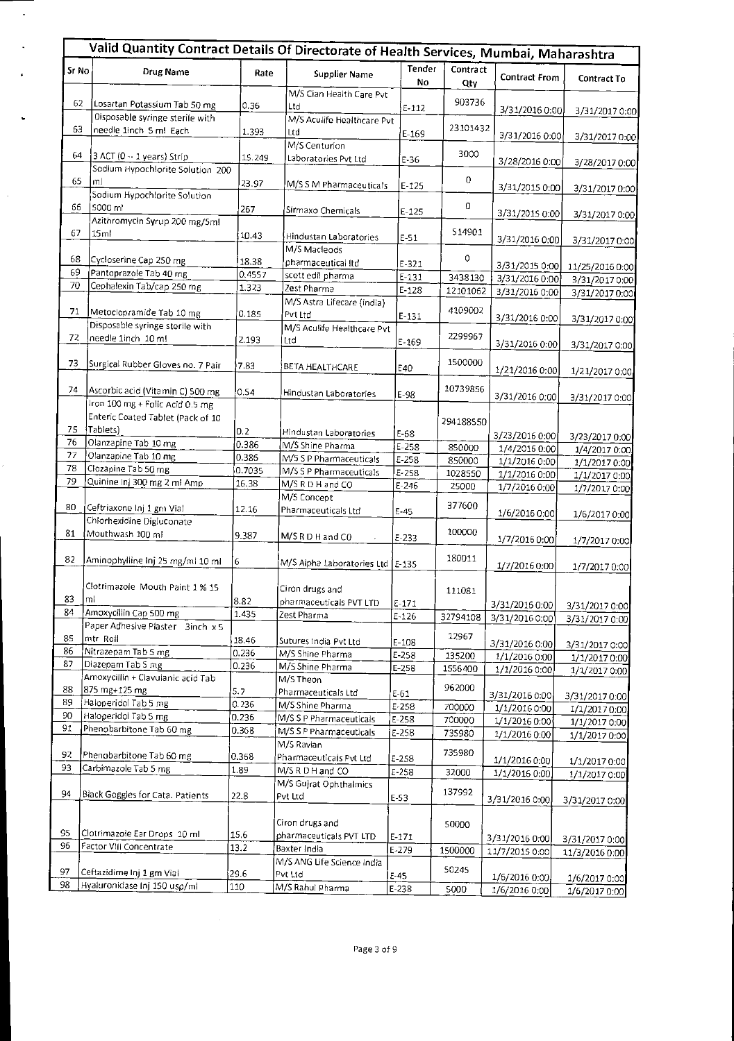|          | Valid Quantity Contract Details Of Directorate of Health Services, Mumbai, Maharashtra |              |                                                       |               |                  |                                  |                                  |
|----------|----------------------------------------------------------------------------------------|--------------|-------------------------------------------------------|---------------|------------------|----------------------------------|----------------------------------|
| Sr No    | Drug Name                                                                              | Rate         | <b>Supplier Name</b>                                  | Tender<br>No. | Contract<br>Qty  | <b>Contract From</b>             | Contract To                      |
| 62       | Losartan Potassium Tab 50 mg<br>Oisposable syringe sterile with                        | 0.36         | M/S Cian Health Care Pvt<br>Ltd                       | $E-112$       | 903736           | 3/31/2016 0:00                   | 3/31/2017 0:00                   |
| 63       | needle 1inch 5 ml Each                                                                 | 1.393        | M/S Aculife Healthcare Pvt<br>Ltd                     | E-169         | 23101432         | 3/31/2016 0:00                   | 3/31/2017 0:00                   |
| 64       | 3 ACT (0 - 1 years) Strip<br>Sodium Hypochlorite Solution 200                          | 15.249       | M/S Centurion<br>Laboratories Pvt Ltd                 | E-36          | 3000             | 3/28/2016 0:00                   | 3/28/2017 0:00                   |
| 65       | ml<br>Sodium Hypochlorite Solution                                                     | 23.97        | M/S S M Pharmaceuticals                               | $E-125$       | 0                | 3/31/2015 0:00                   | 3/31/2017 0:00                   |
| 66       | 5000 ml<br>Azithromycin Syrup 200 mg/5ml                                               | 267          | Sirmaxo Chemicals                                     | $E-125$       | 0                | 3/31/2015 0:00                   | 3/31/2017 0:00                   |
| 67       | 15 <sub>ml</sub>                                                                       | 10.43        | Hindustan Laboratories<br>M/S Macleods                | $E-51$        | 514901           | 3/31/2016 0:00                   | 3/31/2017 0:00                   |
| 68       | Cycloserine Cap 250 mg                                                                 | 18.38        | pharmaceutical Itd                                    | $E - 321$     | 0                | 3/31/2015 0:00                   | 11/25/2016 0:00                  |
| 69       | Pantoprazole Tab 40 mg                                                                 | 0.4557       | scott edil pharma                                     | $E-131$       | 3438130          | 3/31/2016 0:00                   | 3/31/2017 0:00                   |
| 70       | Cephalexin Tab/cap 250 mg                                                              | 1.323        | Zest Pharma                                           | $E-128$       | 12101062         | 3/31/2016 0:00                   | 3/31/2017 0:00                   |
| 71       | Metoclopramide Tab 10 mg                                                               | 0.185        | M/S Astra Lifecare (india)<br>Pvt Ltd                 | $E-131$       | 4109002          | 3/31/2016 0:00                   | 3/31/2017 0:00                   |
| 72       | Disposable syringe sterile with<br>needle 1inch 10 ml                                  | 2.193        | M/S Aculife Healthcare Pvt<br>Ltd                     | $E - 169$     | 2299967          | 3/31/2016 0:00                   | 3/31/2017 0:00                   |
| 73       | Surgical Rubber Gloves no. 7 Pair                                                      | 7.83         | BETA HEALTHCARE                                       | E40           | 1500000          | 1/21/2016 0:00                   | 1/21/2017 0:00                   |
| 74       | Ascorbic acid (Vitamin C) 500 mg<br>Iron 100 mg + Folic Acid 0.5 mg                    | 0.54         | Hindustan Laboratories                                | $E-98$        | 10739856         | 3/31/2016 0:00                   | 3/31/2017 0:00                   |
| 75       | Enteric Coated Tablet (Pack of 10<br>Tablets)                                          | 0.2          | Hindustan Laboratories                                | E-68          | 294188550        |                                  |                                  |
| 76       | Olanzapine Tab 10 mg                                                                   | 0.386        | M/S Shine Pharma                                      | $E-258$       | 850000           | 3/23/2016 0:00<br>1/4/2016 0:00  | 3/23/2017 0:00                   |
| 77       | Olanzapine Tab 10 mg                                                                   | 0.386        | M/5 S P Pharmaceuticals                               | E-258         | 850000           | 1/1/2016 0:00                    | 1/4/2017 0:00<br>1/1/2017 0:00   |
| 78       | Clozapine Tab 50 mg                                                                    | 0.7035       | M/S S P Pharmaceuticals                               | $E-258$       | 1028550          | 1/1/2016 0:00                    | 1/1/2017 0:00                    |
| 79       | Quinine Inj 300 mg 2 ml Amp                                                            | 16.38        | M/S R D H and CO                                      | $E - 246$     | 25000            | 1/7/2016 0:00                    | 1/7/2017 0:00                    |
| 80       | Ceftriaxone Inj 1 gm Vial                                                              | 12.16        | M/S Concept<br>Pharmaceuticals Ltd                    | $E-45$        | 377600           | 1/6/2016 0:00                    | 1/6/2017 0:00                    |
| 81       | Chlorhexidine Digluconate<br>Mouthwash 100 ml                                          | 9.387        | M/SRDH and CO                                         | $E-233$       | 100000           | 1/7/2016 0:00                    | 1/7/2017 0:00                    |
| 82       | Aminophylline Inj 25 mg/ml 10 ml                                                       | 6            | M/S Alpha Laboratories Ltd E-135                      |               | 180011           | 1/7/2016 0:00                    | 1/7/2017 0:00                    |
| 83       | Clotrimazole Mouth Paint 1 % 15<br> mi                                                 | 8.82         | Ciron drugs and<br>pharmaceuticals PVT LTD            | $E-171$       | 111081           |                                  |                                  |
| 84       | Amoxycillin Cap 500 mg                                                                 | 1.435        | Zest Pharma                                           | $E - 126$     | 32794108         | 3/31/2016 0:00<br>3/31/2016 0:00 | 3/31/2017 0:00                   |
| 85       | Paper Adhesive Plaster 3inch x 5<br>mtr Roll                                           | 18.46        | Sutures India Pvt Ltd                                 | $E-108$       | 12967            | 3/31/2016 0:00                   | 3/31/2017 0:00<br>3/31/2017 0:00 |
| 86       | Nitrazepam Tab 5 mg                                                                    | 0.236        | M/S Shine Pharma                                      | E-258         | 135200           | 1/1/2016 0:00                    | 1/1/2017 0:00                    |
| 87       | Diazepam Tab S mg<br>Amoxycillin + Clavulanic acid Tab                                 | 0.236        | M/S Shine Pharma<br>M/S Theon                         | $E-258$       | 1556400          | 1/1/2016 0:00                    | 1/1/2017 0:00                    |
| 88       | 875 mg+125 mg                                                                          | 5.7          | Pharmaceuticals Ltd                                   | $E-61$        | 962000           | 3/31/2016 0:00                   | 3/31/2017 0:00                   |
| 89       | Haloperidol Tab 5 mg                                                                   | 0.236        | M/S Shine Pharma                                      | E-258         | 700000           | 1/1/2016 0:00                    | 1/1/20170:00                     |
| 90       | Haloperidol Tab 5 mg                                                                   | 0.236        | M/S S P Pharmaceuticals                               | E-258         | 700000           | 1/1/2016 0:00                    | 1/1/2017 0:00                    |
| 91       | Phenobarbitone Tab 60 mg                                                               | 0.368        | M/S S P Pharmaceuticals<br>M/S Ravian                 | E-258         | 735980<br>735980 | 1/1/2016 0:00                    | 1/1/2017 0:00                    |
| 92<br>93 | Phenobarbitone Tab 60 mg                                                               | 0.368        | Pharmaceuticals Pvt Ltd                               | F-258         |                  | 1/1/2016 0:00                    | 1/1/2017 0:00                    |
| 94       | Carbimazole Tab 5 mg<br>Black Goggles for Cata. Patients                               | 1.89<br>22.8 | M/S R D H and CO<br>M/S Gujrat Ophthalmics<br>Pvt Ltd | $E-258$       | 32000<br>137992  | 1/1/2016 0:00                    | 1/1/2017 0:00                    |
|          |                                                                                        |              | Ciron drugs and                                       | E-53          |                  | 3/31/2016 0:00                   | 3/31/2017 0:00                   |
| 95       | Clotrimazole Ear Drops 10 ml                                                           | 15.6         | pharmaceuticals PVT LTD                               | $E-171$       | 50000            |                                  |                                  |
| 96       | Factor VIII Concentrate                                                                | 13.2         | Baxter India                                          | $E-279$       | 1500000          | 3/31/2016 0:00                   | 3/31/2017 0:00                   |
| 97       | Ceftazidime Inj 1 gm Vial                                                              | 29.6         | M/S ANG Life Science India<br>Pvt Ltd                 | E-45          | 50245            | 11/7/2015 0:00                   | 11/3/2016 0.00                   |
| 98       | Hyaluronidase Inj 150 usp/ml                                                           | 110          | M/S Rahul Pharma                                      | E-238         | 5000             | 1/6/2016 0:00<br>1/6/2016 0:00   | 1/6/2017 0:00<br>1/6/2017 0:00   |
|          |                                                                                        |              |                                                       |               |                  |                                  |                                  |

l,

 $\bar{z}$ 

 $\bar{\omega}$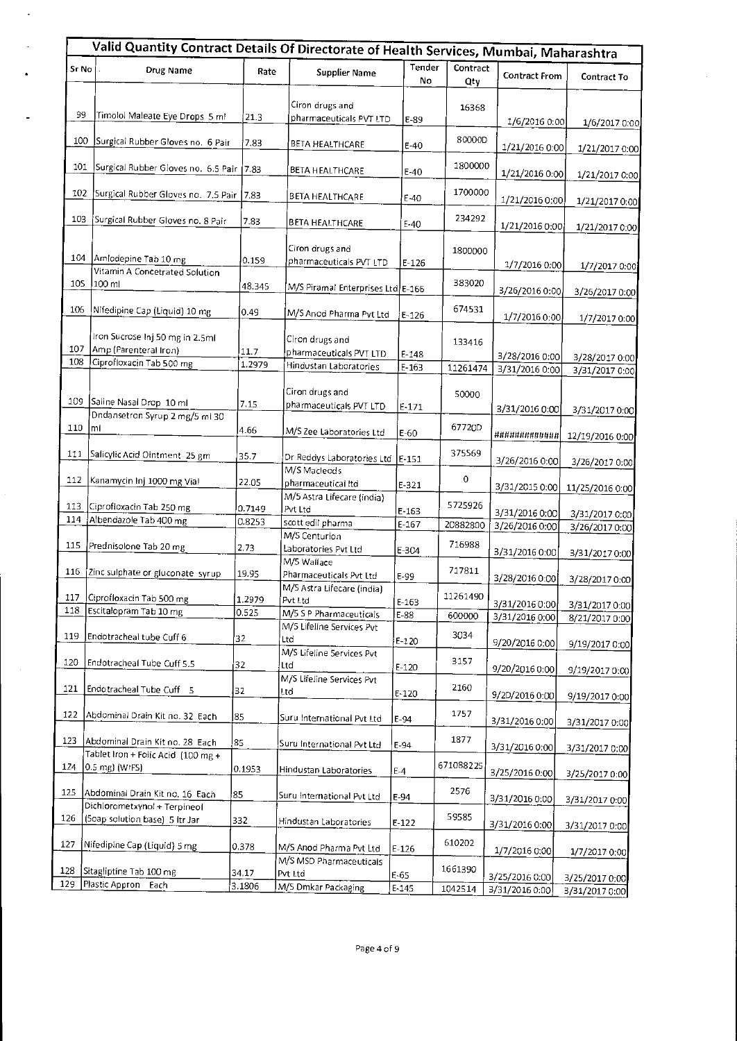|            | Valid Quantity Contract Details Of Directorate of Health Services, Mumbai, Maharashtra |                  |                                                                      |                        |                     |                                  |                                  |  |  |
|------------|----------------------------------------------------------------------------------------|------------------|----------------------------------------------------------------------|------------------------|---------------------|----------------------------------|----------------------------------|--|--|
| Sr No      | Drug Name                                                                              | Rate             | <b>Supplier Name</b>                                                 | Tender<br>No           | Contract<br>Qty     | <b>Contract From</b>             | Contract To                      |  |  |
| 99         | Timolol Maleate Eye Drops 5 ml                                                         | 21.3             | Ciron drugs and<br>pharmaceuticals PVT LTD                           | $E-89$                 | 16368               | 1/6/2016 0:00                    | 1/6/2017 0:00                    |  |  |
| 100        | Surgical Rubber Gloves no. 6 Pair                                                      | 7.83             | BETA HEALTHCARE                                                      | $E-40$                 | 80000D              | 1/21/2016 0:00                   | 1/21/2017 0:00                   |  |  |
| 101        | Surgical Rubber Gloves no. 6.5 Pair                                                    | 7.83             | BETA HEALTHCARE                                                      | $E - 40$               | 1800000             | 1/21/2016 0:00                   | 1/21/2017 0:00                   |  |  |
| 102        | Surgical Rubber Gloves no. 7.5 Pair                                                    | 7.83             | <b>BETA HEALTHCARE</b>                                               | E-40                   | 1700000             | 1/21/2016 0:00                   | 1/21/2017 0:00                   |  |  |
| 103        | Surgical Rubber Gloves no. 8 Pair                                                      | 7.83             | BETA HEALTHCARE                                                      | $E-40$                 | 234292              | 1/21/2016 0:00                   | 1/21/2017 0:00                   |  |  |
| 104        | Amlodepine Tab 10 mg<br>Vitamin A Concetrated Solution                                 | 0.159            | Ciron drugs and<br>pharmaceuticals PVT LTD                           | E-126                  | 1800000             | 1/7/2016 0:00                    | 1/7/2017 0:00                    |  |  |
| 10S        | 100 ml                                                                                 | 48.345           | M/S Piramal Enterprises Ltd E-166                                    |                        | 383020              | 3/26/2016 0:00                   | 3/26/2017 0:00                   |  |  |
| 106        | Nifedipine Cap (Liquid) 10 mg                                                          | 0.49             | M/S Anod Pharma Pvt Ltd                                              | $E-126$                | 674531              | 1/7/2016 0:00                    | 1/7/2017 0:00                    |  |  |
| 107<br>108 | Iron Sucrose Inj 50 mg in 2.5ml<br>Amp (Parenteral Iron)<br>Ciprofloxacin Tab 500 mg   | 11.7<br>1.2979   | Ciron drugs and<br>pharmaceuticals PVT LTD<br>Hindustan Laboratories | $E-148$<br>$E - 163$   | 133416<br>11261474  | 3/28/2016 0:00<br>3/31/2016 0:00 | 3/28/2017 0:00                   |  |  |
| 109        | Saline Nasal Drop 10 ml                                                                | 7.15             | Ciron drugs and<br>pharmaceuticals PVT LTD                           | $E-171$                | 50000               | 3/31/2016 0:00                   | 3/31/2017 0:00<br>3/31/2017 0:00 |  |  |
| 110        | Dndansetron Syrup 2 mg/5 ml 30<br>ml                                                   | 4.66             | M/S Zee Laboratories Ltd                                             | $E-60$                 | 6772OD              | ############                     | 12/19/2016 0:00                  |  |  |
| 111        | Salicylic Acid Ointment 25 gm                                                          | 35.7             | Dr Reddys Laboratories Ltd<br>M/S Macleods                           | $E-151$                | 375569              | 3/26/2016 0:00                   | 3/26/2017 0:00                   |  |  |
| 112        | Kanamycin Inj 1000 mg Vial                                                             | 22.05            | pharmaceutical Itd<br>M/5 Astra Lifecare (india)                     | $E-321$                | 0                   | 3/31/2015 0:00                   | 11/25/2016 0:00                  |  |  |
| 113<br>114 | Ciprofloxacin Tab 250 mg<br>Albendazole Tab 400 mg                                     | 0.7149<br>0.8253 | Pvt Ltd<br>scott edil pharma                                         | $E - 163$<br>$E - 167$ | 5725926<br>20882800 | 3/31/2016 0:00<br>3/26/2016 0:00 | 3/31/2017 0:00                   |  |  |
| 115        | Prednisolone Tab 20 mg                                                                 | 2.73             | M/S Centurion<br>Laboratories Pvt Ltd                                | E-304                  | 716988              | 3/31/2016 0:00                   | 3/26/2017 0:00<br>3/31/2017 0:00 |  |  |
| 116        | Zinc sulphate or gluconate syrup                                                       | 19.95            | M/5 Wallace<br>Pharmaceuticals Pvt Ltd                               | E-99                   | 717811              | 3/28/2016 0:00                   | 3/28/2017 0:00                   |  |  |
| 118        | 117 Ciprofloxacin Tab 500 mg<br>Escitalopram Tab 10 mg                                 | 1.2979           | M/S Astra Lifecare (india)<br>Pvt Ltd                                | $E-163$                | 11261490            | 3/31/2016 0:00                   | 3/31/2017 0:00                   |  |  |
| 119        | Endotracheal tube Cuff 6                                                               | 0.525<br>32      | M/5 S P Pharmaceuticals<br>M/5 Lifeline Services Pvt<br>Ltd          | E-88                   | 600000<br>3034      | 3/31/2016 0:00                   | 8/21/2017 0:00                   |  |  |
| 120        | Endotracheal Tube Cuff 5.5                                                             | 32               | M/S Lifeline Services Pvt<br>Ltd                                     | $E-120$<br>$E - 120$   | 3157                | 9/20/2016 0:00                   | 9/19/2017 0:00                   |  |  |
| 121        | Endotracheal Tube Cuff 5                                                               | 32               | M/S Lifeline Services Pvt<br>Ltd                                     | $E-120$                | 2160                | 9/20/2016 0:00<br>9/2D/2016 0:00 | 9/19/2017 0:00                   |  |  |
| 122        | Abdominal Drain Kit no. 32 Each                                                        | 85               | Suru International Pvt Ltd                                           | E-94                   | 1757                | 3/31/2016 0:00                   | 9/19/2017 0:00<br>3/31/2017 0:00 |  |  |
| 123        | Abdominal Drain Kit no. 28 Each                                                        | 85               | Suru International Pvt Ltd                                           | E-94                   | 1877                | 3/31/2016 0:00                   | 3/31/2017 0:00                   |  |  |
| 124        | Tablet Iron + Folic Acid (100 mg +<br> 0.5 mg) (WIFS)                                  | 0.1953           | Hindustan Laboratories                                               | $E-4$                  | 671088225           | 3/25/2016 0:00                   | 3/25/2017 0:00                   |  |  |
| 125        | Abdominal Drain Kit no. 16 Each<br>Dichlorometxynol + Terpineol                        | 85               | Suru International Pvt Ltd                                           | E-94                   | 2576                | 3/31/2016 0:00                   | 3/31/2017 0:00                   |  |  |
| 126        | (50ap solution base) 5 ltr Jar                                                         | 332              | Hindustan Laboratories                                               | $E-122$                | 59585               | 3/31/2016 0:00                   | 3/31/2017 0:00                   |  |  |
| 127        | Nifedipine Cap (Liquid) 5 mg                                                           | 0.378            | M/S Anod Pharma Pvt Ltd                                              | $E-126$                | 610202              | 1/7/2016 0:00                    | 1/7/2017 0:00                    |  |  |
| 128<br>129 | Sitagliptine Tab 100 mg<br>Plastic Appron Each                                         | 34.17<br>3.1806  | M/S MSD Pharmaceuticals<br>Pvt Ltd<br>M/S Dmkar Packaging            | $E-65$                 | 1661390             | 3/25/2016 0:00                   | 3/25/2017 0:00                   |  |  |
|            |                                                                                        |                  |                                                                      | E-145                  | 1042514             | 3/31/2016 0:00                   | 3/31/2017 0:00                   |  |  |

 $\ddot{\phantom{a}}$ 

k,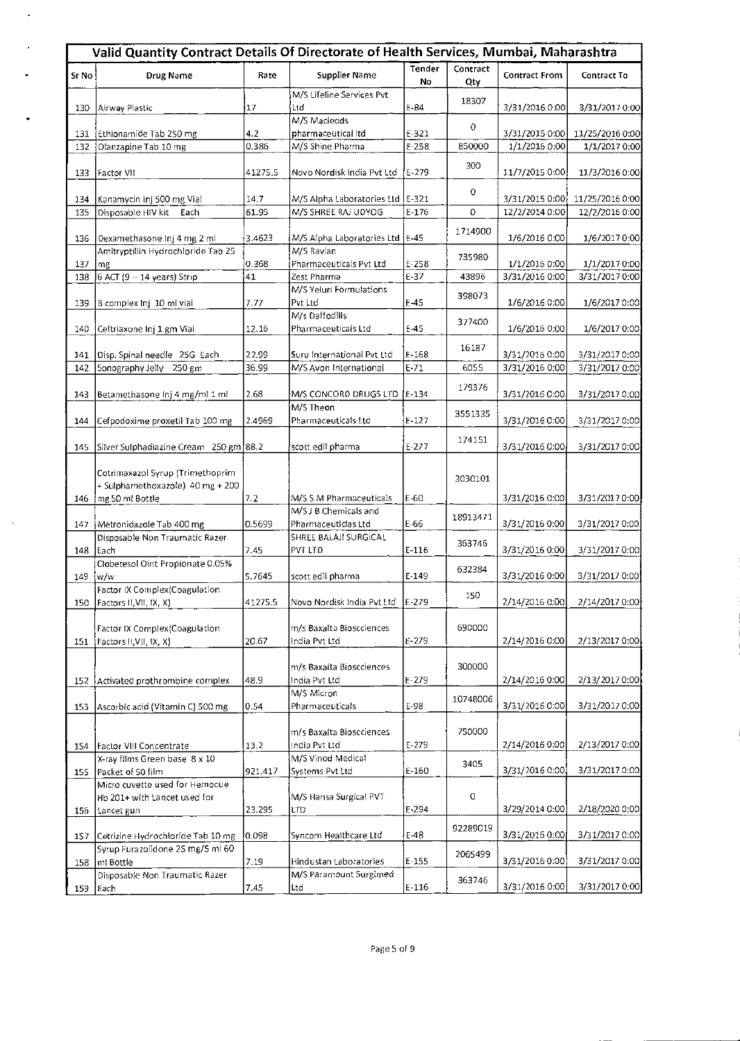|            | Valid Quantity Contract Details Of Directorate of Health Services, Mumbai, Maharashtra |                |                                                      |                   |                 |                                  |                                  |  |
|------------|----------------------------------------------------------------------------------------|----------------|------------------------------------------------------|-------------------|-----------------|----------------------------------|----------------------------------|--|
| Sr No      | <b>Drug Name</b>                                                                       | Rate           | Supplier Name                                        | Tender<br>No      | Contract<br>Qty | <b>Contract From</b>             | Contract To                      |  |
| 130        | Airway Plastic                                                                         | 17             | M/S Lifeline Services Pvt<br>Ltd                     | $E-84$            | 18307           | 3/31/2016 0:00                   | 3/31/2017 0:00                   |  |
|            |                                                                                        | 4.2            | M/S Macleods<br>pharmaceutical Itd                   | $E-321$           | $\circ$         | 3/31/2015 0:00                   |                                  |  |
| 131<br>132 | Ethionamide Tab 250 mg<br>Olanzapine Tab 10 mg                                         | 0.386          | M/S Shine Pharma                                     | $E-258$           | 850000          | 1/1/2016 0:00                    | 11/25/2016 0:00<br>1/1/2017 0:00 |  |
|            |                                                                                        |                |                                                      |                   |                 |                                  |                                  |  |
| 133        | Factor VII                                                                             | 41275.5        | Novo Nordisk India Pvt Ltd                           | $E - 279$         | 300             | 11/7/2015 0:00                   | 11/3/2016 0:00                   |  |
| 134        | Kanamycin Inj 500 mg Vial                                                              | 14.7           | M/S Alpha Laboratories Ltd   E-321                   |                   | 0               | 3/31/2015 0:00[                  | 11/25/2016 0:00                  |  |
| 135        | Disposable HIV kit<br>Each                                                             | 61.95          | M/S SHREE RAJ U0YOG                                  | $E - 176$         | $\circ$         | 12/2/2014 0:00                   | 12/2/2016 0:00                   |  |
| 136        | Dexamethasone inj 4 mg 2 ml                                                            | 3.4623         | M/S Alpha Laboratories Ltd   E-45                    |                   | 1714900         | 1/6/2016 0:00                    | 1/6/2017 0:00                    |  |
|            | Amitryptillin Hydrochloride Tab 25                                                     |                | M/S Ravian                                           |                   | 735980          |                                  |                                  |  |
| 137        | mg<br>138 6 ACT (9 -- 14 years) Strip                                                  | 0.368<br>41    | Pharmaceuticals Pvt Ltd<br>Zest Pharma               | $E-258$<br>$E-37$ | 43896           | 1/1/2016 0:00<br>3/31/2016 0:00  | 1/1/2017 0:00<br>3/31/2017 0:00  |  |
|            |                                                                                        |                | M/S Yeluri Formulations                              |                   |                 |                                  |                                  |  |
| 139        | B complex Inj 10 ml vial                                                               | 7.77           | Pyt Ltd                                              | E-45              | 398073          | 1/6/2016 0:00                    | 1/6/2017 0:00                    |  |
| 140        | Ceftriaxone Ini 1 gm Vial                                                              | 12.16          | M/s Daffodills<br>Pharmaceuticals Ltd                | $E-45$            | 377400          | 1/6/2016 0:00                    | 1/6/2017 0:00                    |  |
|            |                                                                                        |                |                                                      |                   | 16187           |                                  |                                  |  |
| 141<br>142 | Disp. Spinal needle 25G Each<br>Sonography Jelly 250 gm                                | 22.99<br>36.99 | Suru International Pvt Ltd<br>M/S Avon International | E-168<br>$E-71$   | 6055            | 3/31/2016 0:00<br>3/31/2016 0:00 | 3/31/2017 0:00<br>3/31/2017 0:00 |  |
|            |                                                                                        |                |                                                      |                   |                 |                                  |                                  |  |
| 143        | Betamethasone Inj 4 mg/ml 1 ml                                                         | 2.68           | M/S CONCORD DRUGS LTD                                | $E-134$           | 179376          | 3/31/2016 0:00                   | 3/31/2017 0:00                   |  |
| 144        | Cefpodoxime proxetil Tab 100 mg                                                        | 2.4969         | M/S Theon<br>Pharmaceuticals Ltd                     | $E-127$           | 3551335         | 3/31/2016 0:00                   | 3/31/2017 0:00                   |  |
| 145        | Silver Sulphadiazine Cream 250 gm 88.2                                                 |                | scott edil pharma                                    | $E - 277$         | 174151          | 3/31/2016 0:00                   | 3/31/2017 0:00                   |  |
|            |                                                                                        |                |                                                      |                   |                 |                                  |                                  |  |
|            | Cotrimaxazol Syrup (Trimethoprim<br>+ Sulphamethoxazole) 40 mg + 200                   |                |                                                      |                   | 3030101         |                                  |                                  |  |
| 146        | mg 50 ml Bottle                                                                        | 7.2            | M/S S M Pharmaceuticals                              | E-60              |                 | 3/31/2016 0:00                   | 3/31/2017 0:00                   |  |
|            |                                                                                        |                | M/S J B Chemicals and                                |                   | 18913471        |                                  |                                  |  |
| 147        | Metronidazole Tab 400 mg                                                               | 0.5699         | Pharmaceuticlas Ltd                                  | E-66              |                 | 3/31/2016 0:00                   | 3/31/2017 0:00                   |  |
| 148        | Disposable Non Traumatic Razer<br> Each                                                | 7.45           | SHREE BALAJI SURGICAL<br>PVT LTO                     | $E-116$           | 363746          | 3/31/2016 0:00                   | 3/31/2017 0:00                   |  |
|            | Clobetesol Oint Propionate 0.05%                                                       |                |                                                      |                   |                 |                                  |                                  |  |
| 149        | w/w                                                                                    | 5.7645         | scott edil pharma                                    | E-149             | 632384          | 3/31/2016 0:00                   | 3/31/2017 0:00                   |  |
|            | Factor IX Complex (Coagulation                                                         |                | Novo Nordisk India Pvt Ltd                           |                   | 150             |                                  |                                  |  |
| 150        | Factors II, VII, IX, X)                                                                | 41275.5        |                                                      | $E - 279$         |                 | 2/14/2016 0:00                   | 2/14/2017 0:00                   |  |
|            | Factor IX Complex (Coagulation                                                         |                | m/s Baxalta Bioscciences                             |                   | 690000          |                                  |                                  |  |
| 151        | Factors II,VII, IX, X)                                                                 | 20.67          | India Pvt Ltd                                        | $E - 279$         |                 | 2/14/2016 0:00                   | 2/13/2017 0:00                   |  |
|            |                                                                                        |                | m/s Baxalta Bioscciences                             |                   | 300000          |                                  |                                  |  |
|            | 152 Activated prothrombine complex                                                     | 48.9           | India Pvt Ltd                                        | $E - 279$         |                 | 2/14/2016 0:00                   | 2/13/2017 0:00                   |  |
|            |                                                                                        |                | M/S Micron                                           |                   | 10748006        |                                  |                                  |  |
| 153        | Ascorbic acid (Vitamin C) 500 mg                                                       | 0.54           | Pharmaceuticals                                      | E-98              |                 | 3/31/2016 0:00                   | 3/31/2017 0:00                   |  |
|            |                                                                                        |                | m/s Baxalta Bioscciences                             |                   | 750000          |                                  |                                  |  |
| 154        | Factor VIII Concentrate                                                                | 13.2           | India Pvt Ltd                                        | $E - 279$         |                 | 2/14/2016 0:00                   | 2/13/2017 0:00                   |  |
|            | X-ray films Green base 8 x 10                                                          |                | M/S Vinod Medical                                    |                   | 3405            |                                  |                                  |  |
| <b>15S</b> | Packet of 50 film                                                                      | 921.417        | Systems Pvt Ltd                                      | $E-160$           |                 | 3/31/2016 0:00                   | 3/31/2017 0:00                   |  |
|            | Micro cuvette used for Hemocue<br>Hb 201+ with Lancet used for                         |                | M/S Hansa Surgical PVT                               |                   | 0               |                                  |                                  |  |
| 156        | Lancet gun                                                                             | 23.295         | LTD                                                  | E-294             |                 | 3/29/2014 0:00                   | 2/18/2020 0:00                   |  |
|            |                                                                                        |                |                                                      |                   | 92289019        |                                  |                                  |  |
| 157        | Cetrizine Hydrochloride Tab 10 mg                                                      | 0.098          | Syncom Healthcare Ltd                                | $E-48$            |                 | 3/31/2016 0:00                   | 3/31/2017 0:00                   |  |
| 158        | Syrup Furazolidone 2S mg/5 ml 60<br>ml Bottle                                          | 7.19           | Hindustan Laboratories                               | $E-155$           | 2065499         | 3/31/2016 0:00                   | 3/31/2017 0:00                   |  |
|            | Disposable Non Traumatic Razer                                                         |                | M/S Paramount Surgimed                               |                   | 363746          |                                  |                                  |  |
| 159        | i Each                                                                                 | 7.45           | Ltd                                                  | $E-116$           |                 | 3/31/2016 0.00                   | 3/31/2017 0:00.                  |  |

 $\Box$ 

 $\ddot{\phantom{a}}$ 

 $\ddot{\phantom{0}}$ 

 $\sim$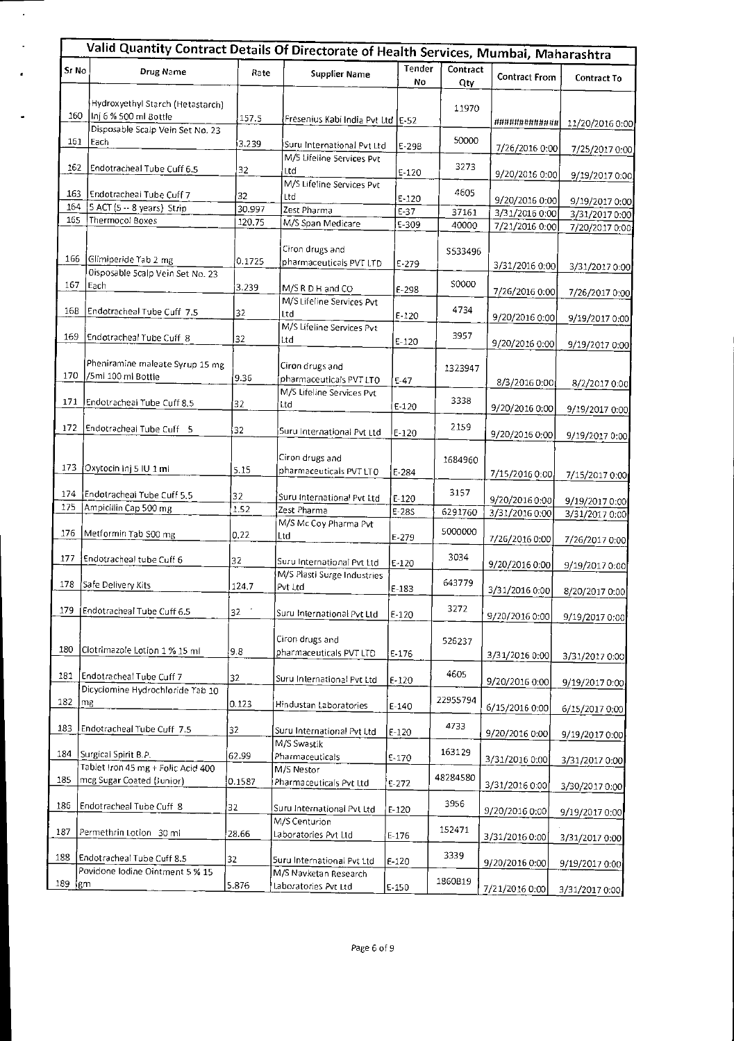|                  | Valid Quantity Contract Details Of Directorate of Health Services, Mumbai, Maharashtra |              |                                               |              |                 |                      |                                   |
|------------------|----------------------------------------------------------------------------------------|--------------|-----------------------------------------------|--------------|-----------------|----------------------|-----------------------------------|
| Sr No            | Drug Name                                                                              | Rate         | <b>Supplier Name</b>                          | Tender<br>No | Contract<br>Qty | <b>Contract From</b> | Contract To                       |
| 160              | Hydroxyethyl Starch (Hetastarch)<br>Inj 6 % 500 ml Bottle                              | 157.5        | Fresenius Kabi India Pvt Ltd E-52             |              | 11970           | ############         |                                   |
| 161              | Disposable Scalp Vein Set No. 23<br>Each                                               | 3.239        | Suru International Pvt Ltd                    | E-29B        | 50000           | 7/26/2016 0:00       | 11/20/2016 0:00<br>7/25/2017 0:00 |
| 162              | Endotracheal Tube Cuff 6.5                                                             | 32           | M/S Lifeline Services Pvt<br>Ltd              | $E-120$      | 3273            | 9/20/2016 0:00       | 9/19/2017 0:00                    |
| 163<br>164       | Endotracheal Tube Cuff 7<br>5 ACT (5 -- 8 years) Strip                                 | 32<br>30.997 | M/S Lifeline Services Pvt<br>Ltd              | $E-120$      | 4605            | 9/20/2016 0:00       | 9/19/2017 0:00                    |
| 165              | Thermocol Boxes                                                                        | 120.75       | Zest Pharma<br>M/S Span Medicare              | $E-37$       | 37161           | 3/31/2016 0:00       | 3/31/2017 0:00                    |
|                  |                                                                                        |              |                                               | E-309        | 40000           | 7/21/2016 0:00       | 7/20/2017 0:00                    |
| 166              | Glimiperide Tab 2 mg<br>Oisposable Scalp Vein Set No. 23                               | 0.1725       | Ciron drugs and<br>pharmaceuticals PVT LTD    | E-279        | \$533496        | 3/31/2016 0:00       | 3/31/2017 0:00                    |
| 167              | Each                                                                                   | 3.239        | M/S R D H and CO                              | E-298        | <b>S0000</b>    | 7/26/2016 0:00       | 7/26/2017 0:00                    |
| 16B              | Endotracheal Tube Cuff 7.5                                                             | 32           | M/S Lifeline Services Pvt<br>Ltd              | E-120        | 4734            | 9/20/2016 0:00       | 9/19/2017 0:00                    |
| 169              | Endotracheal Tube Cuff 8                                                               | 32           | M/S Lifeline Services Pvt<br>Ltd              | $E-120$      | 3957            | 9/20/2016 0:00       | 9/19/2017 0:00                    |
| 170              | Pheniramine maleate Syrup 15 mg<br>/5mi 100 mi Bottie                                  | 9.36         | Ciron drugs and<br>pharmaceuticals PVT LTO    | $E - 47$     | 1323947         | 8/3/2016 0:00        | 8/2/2017 0:00                     |
| 171              | Endotracheal Tube Cuff 8.5                                                             | 32           | M/S Lifeline Services Pvt<br>Ltd              | $E-120$      | 3338            | 9/20/2016 0:00       | 9/19/2017 0:00                    |
| 172              | Endotracheal Tube Cuff 5                                                               | 32           | Suru International Pvt Ltd                    | $E-120$      | 2159            | 9/20/2016 0:00       | 9/19/2017 0:00                    |
| 173              | Oxytocin inj 5 IU 1 mi                                                                 | 5.15         | Ciron drugs and<br>pharmaceuticals PVT LTO    | $E-284$      | 1684960         | 7/15/2016 0:00       | 7/15/2017 0:00                    |
| 174              | Endotracheal Tube Cuff 5.5                                                             | 32           | Suru International Pvt Ltd                    | $E-120$      | 3157            | 9/20/2016 0:00       | 9/19/2017 0:00                    |
| 175              | Ampicillin Cap 500 mg                                                                  | 1.52         | Zest Pharma                                   | E-28S        | 6291760         | 3/31/2016 0:00       | 3/31/2017 0:00                    |
| 176              | Metformin Tab S00 mg                                                                   | 0.22         | M/S Mc Coy Pharma Pvt<br>Ltd                  | $E - 279$    | 5000000         | 7/26/2016 0:00       | 7/26/2017 0:00                    |
| 177              | Endotracheal tube Cuff 6                                                               | 32           | Suru International Pvt Ltd                    | $E-120$      | 3034            | 9/20/2016 0:00       | 9/19/2017 0:00                    |
| 178              | Safe Delivery Kits                                                                     | 124.7        | M/S Plasti Surge Industries<br>Pvt Ltd        | $E-183$      | 643779          | 3/31/2016 0:00       | 8/20/2017 0:00                    |
| 179              | Endotracheal Tube Cuff 6.5                                                             | 32           | Suru International Pvt Ltd                    | $E-120$      | 3272            | 9/20/2016 0:00       | 9/19/2017 0:00                    |
| 180              | Clotrimazole Lotion 1 % 15 ml                                                          | 9.8          | Ciron drugs and<br>pharmaceuticals PVT LTD    | E-176        | 526237          | 3/31/2016 0:00       | 3/31/2017 0:00                    |
| 181              | Endotracheal Tube Cuff 7                                                               | 32           | Suru International Pvt Ltd                    | E-120        | 4605            | 9/20/2016 0:00       | 9/19/2017 0:00                    |
| 182              | Dicyclomine Hydrochloride Tab 10<br>l mg                                               | 0.123        | Hindustan Laboratories                        | $E-140$      | 22955794        | 6/15/2016 0:00       | 6/15/2017 0:00                    |
| 183              | Endotracheal Tube Cuff 7.5                                                             | 32           | Suru International Pvt Ltd                    | $E-120$      | 4733            | 9/20/2016 0:00       | 9/19/2017 0:00                    |
| 184              | Surgical Spirit B.P.                                                                   | 62.99        | M/S Swastik<br>Pharmaceuticals                | E-170        | 163129          | 3/31/2016 0:00       | 3/31/2017 0:00                    |
| 185              | Tablet Iron 45 mg + Folic Acid 400<br>mcg Sugar Coated (Junior)                        | 0.1587       | M/S Nestor<br>Pharmaceuticals Pvt Ltd         | $E-272$      | 48284580        | 3/31/2016 0:00       | 3/30/2017 0:00                    |
| 186              | Endotracheal Tube Cuff 8                                                               | 32           | Suru International Pvt Ltd                    | $E-120$      | 3956            | 9/20/2016 0:00       | 9/19/2017 0:00                    |
| 187              | Permethrin Lotion 30 ml                                                                | 28.66        | M/S Centurion<br>Laboratories Pvt Ltd         | $E-176$      | 152471          | 3/31/2016 0:00       | 3/31/2017 0:00                    |
| 188              | Endotracheal Tube Cuff 8.5                                                             | 32           | Suru International Pvt Ltd                    | E-120        | 3339            | 9/20/2016 0:00       | 9/19/2017 0:00                    |
| $189 \text{ km}$ | Povidone lodine Ointment 5 % 15                                                        | 5.876        | M/S Navketan Research<br>Laboratories Pvt Ltd | E-150        | 1860B19         | 7/21/2016 0:00       | 3/31/2017 0:00                    |

 $\bar{\phantom{a}}$ 

l,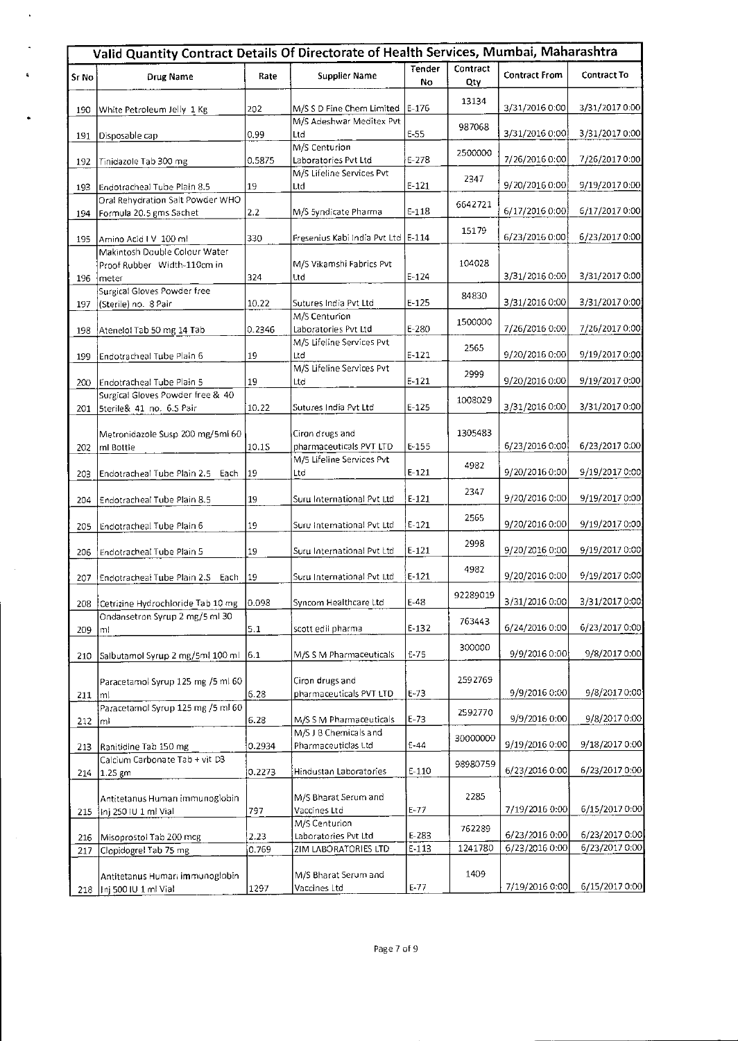|       | Valid Quantity Contract Details Of Directorate of Health Services, Mumbai, Maharashtra |        |                                              |              |                 |                      |                    |
|-------|----------------------------------------------------------------------------------------|--------|----------------------------------------------|--------------|-----------------|----------------------|--------------------|
| Sr No | <b>Drug Name</b>                                                                       | Rate   | Supplier Name                                | Tender<br>No | Contract<br>Qty | <b>Contract From</b> | <b>Contract To</b> |
| 190   | White Petroleum Jelly 1 Kg                                                             | 202    | M/S S D Fine Chem Limited                    | $E-176$      | 13134           | 3/31/2016 0:00       | 3/31/2017 0:00     |
| 191   | Disposable cap                                                                         | 0.99   | M/S Adeshwar Meditex Pvt<br>Ltd              | E-55         | 987068          | 3/31/2016 0:00       | 3/31/2017 0:00     |
| 192   | Tinidazole Tab 300 mg                                                                  | 0.5875 | M/S Centurion<br>Laboratories Pvt Ltd        | $E-278$      | 2500000         | 7/26/2016 0:00       | 7/26/20170:00      |
| 193   | Endotracheal Tube Plain 8.5                                                            | 19     | M/S Lifeline Services Pvt<br>Ltd             | $E-121$      | 2347            | 9/20/2016 0:00       | 9/19/2017 0:00     |
| 194   | Oral Rehydration Salt Powder WHO<br>Formula 20.5 gms Sachet                            | 2.2    | M/S 5yndicate Pharma                         | $E-118$      | 6642721         | 6/17/2016 0:00]      | 6/17/2017 0:00     |
| 195   | Amino Acid I V 100 ml                                                                  | 330    | Fresenius Kabi India Pvt Ltd   E-114         |              | 15179           | 6/23/2016 0:00       | 6/23/2017 0:00     |
| 196   | Makintosh Double Colour Water<br>Proof Rubber Width-110cm in<br>meter                  | 324    | M/S Vikamshi Fabrics Pvt<br>Ltd              | $E - 124$    | 104028          | 3/31/2016 0:00       | 3/31/2017 0:00     |
| 197   | Surgical Gloves Powder free<br>(Sterile) no. 8 Pair                                    | 10.22  | Sutures India Pvt Ltd                        | E 125        | 84830           | 3/31/2016 0:00       | 3/31/2017 0:00]    |
| 198   | Atenelol Tab 50 mg 14 Tab                                                              | 0.2346 | M/S Centurion<br>Laboratories Pvt Ltd        | E-280        | 1500000         | 7/26/2016 0:00       | 7/26/2017 0:00     |
| 199   | Endotracheal Tube Plain 6                                                              | 19     | M/S Lifeline Services Pvt<br>Ltd             | $E - 121$    | 2565            | 9/20/2016 0:00       | 9/19/2017 0:00     |
| 200   | Endotracheal Tube Plain 5                                                              | 19     | M/S Lifeline Services Pvt<br>Ltd             | $E - 121$    | 2999            | 9/20/2016 0:00       | 9/19/2017 0:00     |
| 201   | Surgical Gloves Powder free & 40<br>Sterile& 41 no. 6.S Pair                           | 10.22  | Sutures India Pvt Ltd                        | $E - 125$    | 1008029         | 3/31/2016 0:00       | 3/31/2017 0:00     |
| 202   | Metronidazole Susp 200 mg/5ml 60<br>ml Bottle                                          | 10.15  | Ciron drugs and<br>pharmaceuticals PVT LTD   | E 155        | 1305483         | 6/23/2016 0:00       | 6/23/2017 0:00     |
| 203   | Endotracheal Tube Plain 2.5 Each                                                       | 19     | M/5 Lifeline Services Pvt<br>Ltd             | $E-121$      | 4982            | 9/20/2016 0:00       | 9/19/2017 0:00     |
| 204   | Endotracheal Tube Plain 8.5                                                            | 19     | Suru International Pvt Ltd                   | $E-121$      | 2347            | 9/20/2016 0:00       | 9/19/2017 0:00     |
| 205   | Endotracheal Tube Plain 6                                                              | 19     | Suru International Pvt Ltd                   | E-121        | 2565            | 9/20/2016 0:00       | 9/19/2017 0:00     |
| 206   | Endotracheal Tube Plain 5                                                              | 19     | Suru International Pvt Ltd                   | $E - 121$    | 2998            | 9/20/2016 0:00       | 9/19/2017 0:00     |
| 207   | Endotracheal Tube Plain 2.5 Each                                                       | 19     | Suru International Pvt Ltd                   | $E-121$      | 4982            | 9/20/2016 0:00       | 9/19/2017 0:00     |
|       | 208 Cetrizine Hydrochloride Tab 10 mg                                                  | 0.098  | Syncom Healthcare Ltd                        | E-48         | 92289019        | 3/31/2016 0:00       | 3/31/2017 0:00     |
| 209   | Ondansetron Syrup 2 mg/5 ml 30<br>ml                                                   | 5.1    | scott edil pharma                            | E-132        | 763443          | 6/24/2016 0:00       | 6/23/2017 0:00     |
| 210   | Salbutamol Syrup 2 mg/5ml 100 ml                                                       | 6.1    | M/S S M Pharmaceuticals                      | E-75         | 300000          | 9/9/2016 0:00        | 9/8/2017 0:00      |
| 211   | Paracetamol Syrup 125 mg /5 ml 60<br> m                                                | 6.28   | Ciron drugs and<br>pharmaceuticals PVT LTD   | E 73         | 2592769         | 9/9/2016 0:00        | 9/8/20170:00       |
| 212   | Paracetamol Syrup 125 mg /5 ml 60<br>mi                                                | 6.28   | M/S S M Pharmaceuticals                      | $E-73$       | 2592770         | 9/9/2016 0:00        | 9/8/2017 0:00      |
| 213   | Ranitidine Tab 150 mg                                                                  | 0.2934 | M/S J B Chemicals and<br>Pharmaceuticlas Ltd | $E - 44$     | 30000000        | 9/19/2016 0:00       | 9/18/2017 0:00     |
| 214   | Calcium Carbonate Tab + vit D3<br> 1.25 gm                                             | 0.2273 | Hindustan Laboratories                       | $E-110$      | 98980759        | 6/23/2016 0:00       | 6/23/2017 0:00     |
| 215   | Antitetanus Human immunoglobin<br>Inj 250 IU 1 ml Vial                                 | 797    | M/S Bharat Serum and<br>Vaccines Ltd         | E-77         | 2285            | 7/19/2016 0:00       | 6/15/2017 0:00     |
| 216   | Misoprostol Tab 200 mcg                                                                | 2.23   | M/S Centurion<br>Laboratories Pvt Ltd        | E-283        | 762289          | 6/23/2016 0:00       | 6/23/2017 0:00     |
| 217   | Clopidogrel Tab 75 mg                                                                  | 0.769  | ZIM LABORATORIES LTD                         | $F-113$      | 1241780         | 6/23/2016 0:00       | 6/23/2017 0:00     |
| 218   | Antitetanus Human immunoglobin<br>Inj 500 IU 1 ml Vial                                 | 1297   | M/S Bharat Serum and<br>Vaccines Ltd         | $E-77$       | 1409            | 7/19/2016 0:00       | 6/15/2017 0:00     |

 $\ddot{\phantom{a}}$ 

 $\overline{\phantom{a}}$ 

 $\bullet$ 

 $\sim$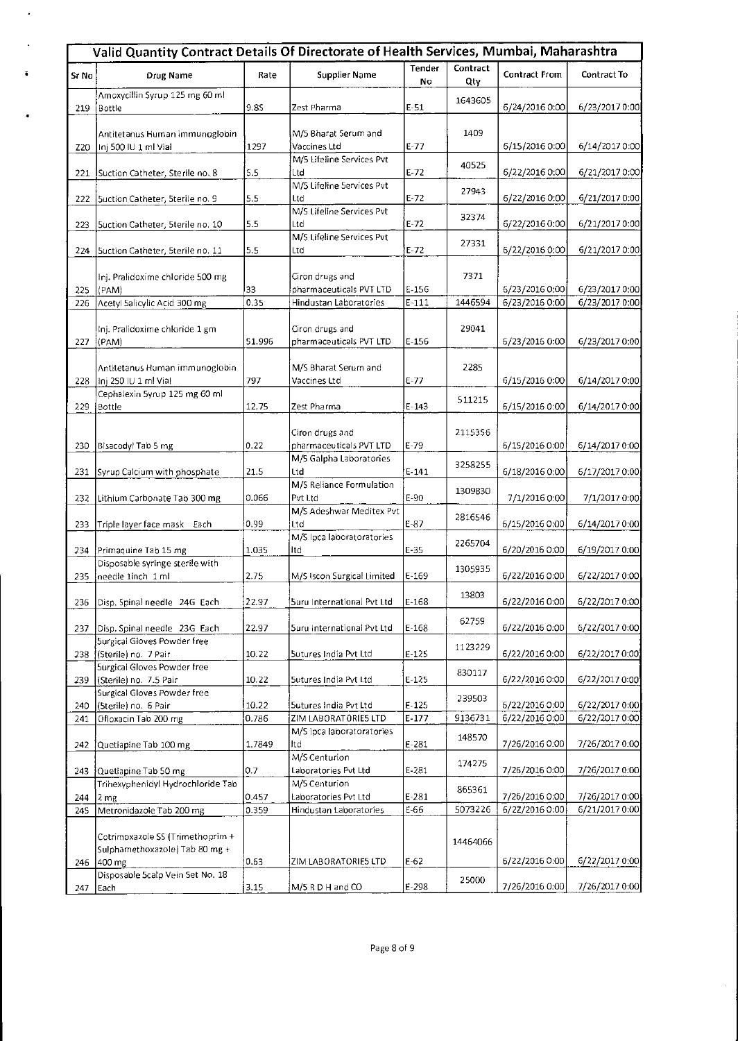|            | Valid Quantity Contract Details Of Directorate of Health Services, Mumbai, Maharashtra |                |                                                |                 |                 |                                  |                                  |
|------------|----------------------------------------------------------------------------------------|----------------|------------------------------------------------|-----------------|-----------------|----------------------------------|----------------------------------|
| Sr No      | <b>Drug Name</b>                                                                       | Rate           | <b>Supplier Name</b>                           | Tender<br>No    | Contract<br>Qty | Contract From                    | Contract To                      |
| 219        | Amoxycillin Syrup 125 mg 60 ml<br> Bottle                                              | 9.8S           | Zest Pharma                                    | $E-51$          | 1643605         | 6/24/2016 0:00                   | 6/23/2017 0:00                   |
| Z20        | Antitetanus Human immunoglobin<br>Inj 500 IU 1 ml Vial                                 | 1297           | M/5 Bharat Serum and<br>Vaccines Ltd           | $E-77$          | 1409            | 6/15/2016 0:00                   | 6/14/2017 0:00                   |
| 221        | Suction Catheter, Sterile no. 8                                                        | 5.5            | M/5 Lifeline Services Pvt<br>Ltd               | $E - 72$        | 40525           | 6/22/2016 0:00                   | 6/21/2017 0:00                   |
| 222        | Suction Catheter, Sterile no. 9                                                        | 5.5            | M/5 Lifeline 5ervices Pvt<br>Ltd               | $E-72$          | 27943           | 6/22/2016 0:00                   | 6/21/2017 0:00                   |
| 223        | Suction Catheter, 5terile no. 10                                                       | 5.5            | M/S Lifeline Services Pvt<br>Ltd               | $E-72$          | 32374           | 6/22/2016 0:00                   | 6/21/2017 0:00                   |
| 224        | Suction Catheter, Sterile no. 11                                                       | 5.5            | M/S Lifeline Services Pvt<br>Ltd               | $E-72$          | 27331           | 6/22/2016 0:00                   | 6/21/20170:00                    |
| 225        | Inj. Pralidoxime chloride 500 mg<br>(PAM)                                              | 33             | Ciron drugs and<br>pharmaceuticals PVT LTD     | $E-156$         | 7371            | 6/23/2016 0:00                   | 6/23/2017 0:00                   |
| 226        | Acetyl Salicylic Acid 300 mg                                                           | 0.35           | Hindustan Laboratories                         | $E - 111$       | 1446594         | 6/23/2016 0:00                   | 6/23/2017 0:00                   |
| 227        | Inj. Pralidoxime chloride 1 gm<br>[(PAM)]                                              | 51.996         | Ciron drugs and<br>pharmaceuticals PVT LTD     | $E-156$         | 29041           | 6/23/2016 0:00                   | 6/23/2017 0:00                   |
| 228        | Antitetanus Human immunoglobin<br>Inj 250 IU 1 ml Vial                                 | 797            | M/S Bharat Serum and<br>Vaccines Ltd           | $E-77$          | 2285            | 6/15/2016 0:00                   | 6/14/2017 0:00                   |
| 229        | Cephalexin 5yrup 125 mg 60 ml<br>Bottle                                                | 12.75          | Zest Pharma                                    | $E - 143$       | 511215          | 6/15/2016 0:00                   | 6/14/2017 0:00                   |
| 230        | Bisacodyl Tab 5 mg                                                                     | 0.22           | Ciron drugs and<br>pharmaceuticals PVT LTD     | $E-79$          | 2115356         | 6/15/2016 0:00                   | 6/14/2017 0:00                   |
| 231        | Syrup Calcium with phosphate                                                           | 21.5           | M/S Galpha Laboratories<br>Ltd                 | $E-141$         | 3258255         | 6/18/2016 0:00                   | 6/17/2017 0:00                   |
| 232        | Lithium Carbonate Tab 300 mg                                                           | 0.066          | M/S Reliance Formulation<br>Pvt Ltd            | E-90            | 1309830         | 7/1/2016 0:00                    | 7/1/2017 0:00                    |
| 233        | Triple layer face mask Each                                                            | 0.99           | M/S Adeshwar Meditex Pvt<br>Ltd                | $E-87$          | 2816546         | 6/15/2016 0:00                   | 6/14/2017 0:00                   |
| 234        | Primaquine Tab 15 mg                                                                   | 1.035          | M/S Ipca laboratoratories<br>Itd               | $E-35$          | 2265704         | 6/20/2016 0:00                   | 6/19/2017 0:00                   |
| 235        | Disposable syringe sterile with<br>needle 1inch 1 ml                                   | 2.75           | M/S Iscon Surgical Limited                     | $E-169$         | 1305935         | 6/22/2016 0:00                   | 6/22/2017 0:00                   |
| 236        | Disp. Spinal needle 24G Each                                                           | 22.97          | Suru International Pvt Ltd                     | $E-168$         | 13803           | 6/22/2016 0:00                   | 6/22/2017 0:00                   |
| 237        | Disp. Spinal needle 23G Each                                                           | 22.97          | Suru International Pvt Ltd                     | $E-168$         | 62759           | 6/22/2016 0:00                   | 6/22/2017 0:00                   |
| 238        | Surgical Gloves Powder free<br>(Sterile) no. 7 Pair                                    | 10.22          | Sutures India Pvt Ltd                          | $E-125$         | 1123229         | 6/22/2016 0:00                   | 6/22/2017 0:00                   |
| 239        | Surgical Gloves Powder free<br>(Sterile) no. 7.5 Pair                                  | 10.22          | Sutures India Pvt Ltd                          | $E - 125$       | 830117          | 6/22/2016 0:00                   | 6/22/2017 0:00                   |
| 240        | Surgical Gloves Powder free<br>(Sterile) no. 6 Pair                                    | 10.22          | Sutures India Pvt Ltd                          | $E-125$         | 239503          | 6/22/2016 0:00                   | 6/22/2017 0:00                   |
| 241        | Ofloxacin Tab 200 mg                                                                   | 0.786          | ZIM LABORATORIES LTD                           | $E-177$         | 9136731         | 6/22/2016 0:00                   | 6/22/2017 0:00                   |
| 242        | Quetiapine Tab 100 mg                                                                  | 1.7849         | M/S lpca laboratoratories<br>Itd               | $E-281$         | 148570          | 7/26/2016 0:00                   | 7/26/2017 0:00                   |
| 243        | Quetiapine Tab 50 mg                                                                   | 0.7            | M/S Centurion<br>Laboratories Pvt Ltd          | E-281           | 174275          | 7/26/2016 0:00                   | 7/26/2017 0:00                   |
|            | Trihexyphenidyl Hydrochloride Tab                                                      |                | M/5 Centurion                                  |                 | 865361          |                                  |                                  |
| 244<br>245 | 2 <sub>mg</sub><br>Metronidazole Tab 200 mg                                            | 0.457<br>0.359 | Laboratories Pvt Ltd<br>Hindustan Laboratories | $E-281$<br>E-66 | 5073226         | 7/26/2016 0:00<br>6/2Z/2016 0:00 | 7/26/2017 0:00<br>6/21/2017 0:00 |
|            | Cotrimoxazole SS (Trimethoprim +<br>Sulphamethoxazole) Tab 80 mg +                     |                |                                                |                 | 14464066        |                                  |                                  |
|            | 246 400 mg<br>Disposable 5calp Vein Set No. 18                                         | 0.63           | ZIM LABORATORIE5 LTD                           | $E-62$          |                 | 6/22/2016 0:00                   | 6/22/2017 0:00                   |
| 247        | Each                                                                                   | 3.15           | M/5 R D H and CO                               | $E-298$         | 25000           | 7/26/2016 0:00                   | 7/26/2017 0:00                   |

 $\boldsymbol{\cdot}$ 

 $\ddot{\phantom{a}}$ 

 $\ddot{\phantom{a}}$ 

 $\ddot{\phantom{a}}$ 

 $\mathcal{A}_{\mathcal{A}}$